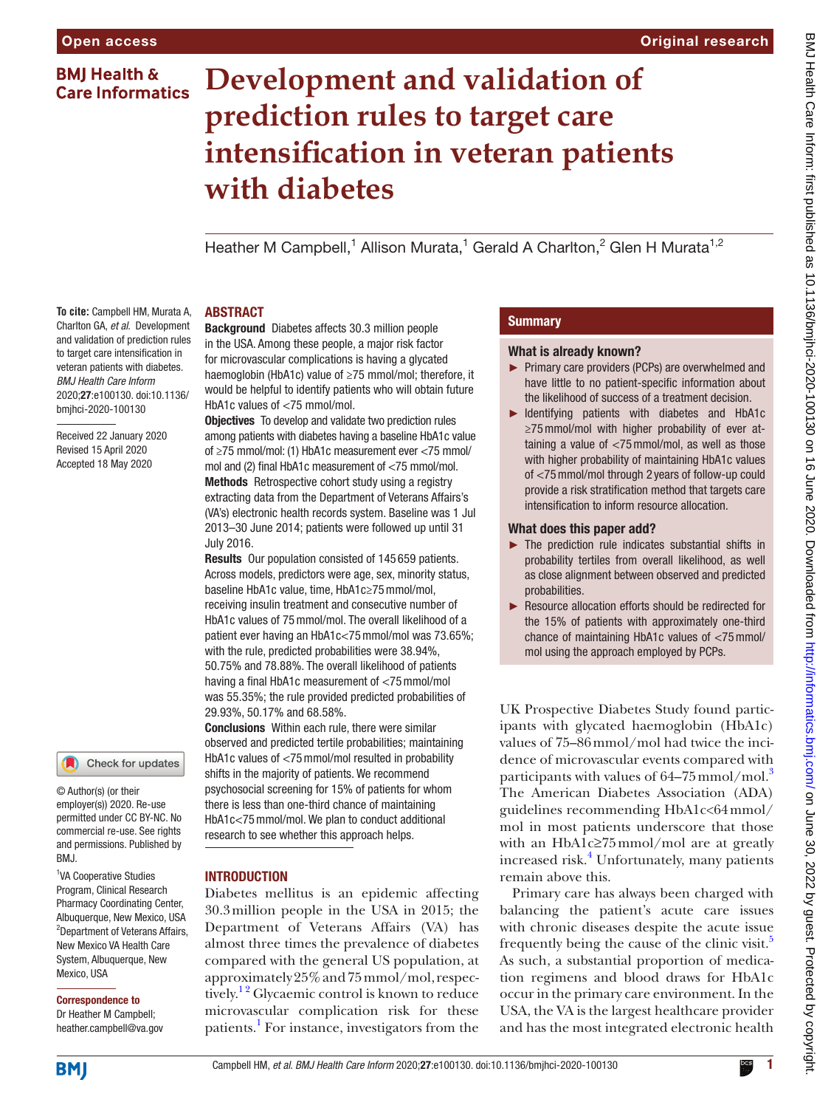# **BMJ Health & Care Informatics**

# **Development and validation of prediction rules to target care intensification in veteran patients with diabetes**

Heather M Campbell,<sup>1</sup> Allison Murata,<sup>1</sup> Gerald A Charlton,<sup>2</sup> Glen H Murata<sup>1,2</sup>

### **ABSTRACT**

**To cite:** Campbell HM, Murata A, Charlton GA, *et al*. Development and validation of prediction rules to target care intensification in veteran patients with diabetes. *BMJ Health Care Inform* 2020;27:e100130. doi:10.1136/ bmjhci-2020-100130

Received 22 January 2020 Revised 15 April 2020 Accepted 18 May 2020



© Author(s) (or their employer(s)) 2020. Re-use permitted under CC BY-NC. No commercial re-use. See rights and permissions. Published by BMJ.

<sup>1</sup>VA Cooperative Studies Program, Clinical Research Pharmacy Coordinating Center, Albuquerque, New Mexico, USA <sup>2</sup>Department of Veterans Affairs, New Mexico VA Health Care System, Albuquerque, New Mexico, USA

# Correspondence to

Dr Heather M Campbell; heather.campbell@va.gov Background Diabetes affects 30.3 million people in the USA. Among these people, a major risk factor for microvascular complications is having a glycated haemoglobin (HbA1c) value of ≥75 mmol/mol; therefore, it would be helpful to identify patients who will obtain future HbA1c values of <75 mmol/mol.

**Objectives** To develop and validate two prediction rules among patients with diabetes having a baseline HbA1c value of ≥75 mmol/mol: (1) HbA1c measurement ever <75 mmol/ mol and (2) final HbA1c measurement of <75 mmol/mol. Methods Retrospective cohort study using a registry extracting data from the Department of Veterans Affairs's (VA's) electronic health records system. Baseline was 1 Jul 2013–30 June 2014; patients were followed up until 31 July 2016.

Results Our population consisted of 145 659 patients. Across models, predictors were age, sex, minority status, baseline HbA1c value, time, HbA1c≥75mmol/mol, receiving insulin treatment and consecutive number of HbA1c values of 75mmol/mol. The overall likelihood of a patient ever having an HbA1c<75mmol/mol was 73.65%; with the rule, predicted probabilities were 38.94%, 50.75% and 78.88%. The overall likelihood of patients having a final HbA1c measurement of <75mmol/mol was 55.35%; the rule provided predicted probabilities of 29.93%, 50.17% and 68.58%.

Conclusions Within each rule, there were similar observed and predicted tertile probabilities; maintaining HbA1c values of <75mmol/mol resulted in probability shifts in the majority of patients. We recommend psychosocial screening for 15% of patients for whom there is less than one-third chance of maintaining HbA1c<75mmol/mol. We plan to conduct additional research to see whether this approach helps.

### **INTRODUCTION**

Diabetes mellitus is an epidemic affecting 30.3million people in the USA in 2015; the Department of Veterans Affairs (VA) has almost three times the prevalence of diabetes compared with the general US population, at approximately 25% and 75mmol/mol, respectively.<sup>12</sup> Glycaemic control is known to reduce microvascular complication risk for these patients.<sup>[1](#page-5-0)</sup> For instance, investigators from the

# **Summary**

### What is already known?

- ► Primary care providers (PCPs) are overwhelmed and have little to no patient-specific information about the likelihood of success of a treatment decision.
- ► Identifying patients with diabetes and HbA1c ≥75mmol/mol with higher probability of ever attaining a value of <75mmol/mol, as well as those with higher probability of maintaining HbA1c values of <75mmol/mol through 2 years of follow-up could provide a risk stratification method that targets care intensification to inform resource allocation.

### What does this paper add?

- ► The prediction rule indicates substantial shifts in probability tertiles from overall likelihood, as well as close alignment between observed and predicted probabilities.
- ► Resource allocation efforts should be redirected for the 15% of patients with approximately one-third chance of maintaining HbA1c values of <75mmol/ mol using the approach employed by PCPs.

UK Prospective Diabetes Study found participants with glycated haemoglobin (HbA1c) values of 75–86mmol/mol had twice the incidence of microvascular events compared with participants with values of  $64-75$  mmol/mol.<sup>3</sup> The American Diabetes Association (ADA) guidelines recommending HbA1c<64mmol/ mol in most patients underscore that those with an HbA1c≥75mmol/mol are at greatly increased risk.<sup>[4](#page-5-2)</sup> Unfortunately, many patients remain above this.

Primary care has always been charged with balancing the patient's acute care issues with chronic diseases despite the acute issue frequently being the cause of the clinic visit. $5$ As such, a substantial proportion of medication regimens and blood draws for HbA1c occur in the primary care environment. In the USA, the VA is the largest healthcare provider and has the most integrated electronic health

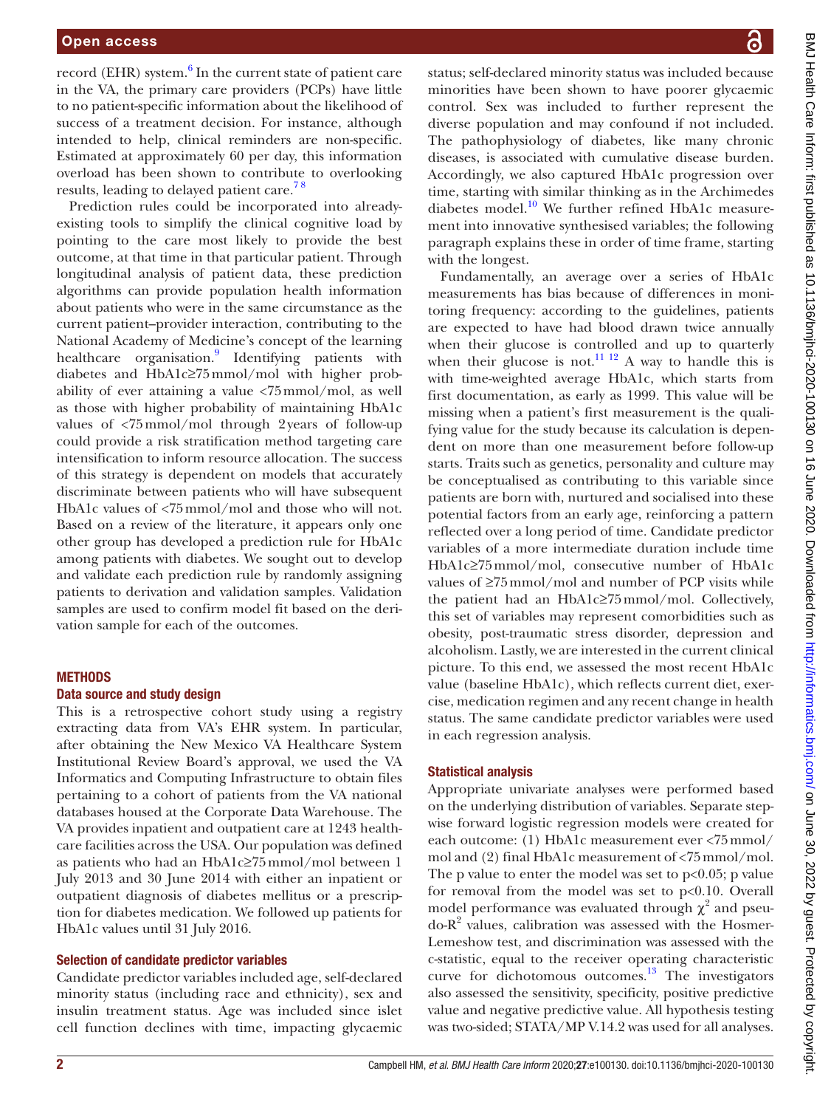record (EHR) system.<sup>[6](#page-5-4)</sup> In the current state of patient care in the VA, the primary care providers (PCPs) have little to no patient-specific information about the likelihood of success of a treatment decision. For instance, although intended to help, clinical reminders are non-specific. Estimated at approximately 60 per day, this information overload has been shown to contribute to overlooking results, leading to delayed patient care.<sup>78</sup>

Prediction rules could be incorporated into alreadyexisting tools to simplify the clinical cognitive load by pointing to the care most likely to provide the best outcome, at that time in that particular patient. Through longitudinal analysis of patient data, these prediction algorithms can provide population health information about patients who were in the same circumstance as the current patient–provider interaction, contributing to the National Academy of Medicine's concept of the learning healthcare organisation.<sup>[9](#page-5-6)</sup> Identifying patients with diabetes and HbA1c≥75mmol/mol with higher probability of ever attaining a value <75mmol/mol, as well as those with higher probability of maintaining HbA1c values of <75mmol/mol through 2years of follow-up could provide a risk stratification method targeting care intensification to inform resource allocation. The success of this strategy is dependent on models that accurately discriminate between patients who will have subsequent HbA1c values of <75mmol/mol and those who will not. Based on a review of the literature, it appears only one other group has developed a prediction rule for HbA1c among patients with diabetes. We sought out to develop and validate each prediction rule by randomly assigning patients to derivation and validation samples. Validation samples are used to confirm model fit based on the derivation sample for each of the outcomes.

### **METHODS**

### Data source and study design

This is a retrospective cohort study using a registry extracting data from VA's EHR system. In particular, after obtaining the New Mexico VA Healthcare System Institutional Review Board's approval, we used the VA Informatics and Computing Infrastructure to obtain files pertaining to a cohort of patients from the VA national databases housed at the Corporate Data Warehouse. The VA provides inpatient and outpatient care at 1243 healthcare facilities across the USA. Our population was defined as patients who had an HbA1c≥75mmol/mol between 1 July 2013 and 30 June 2014 with either an inpatient or outpatient diagnosis of diabetes mellitus or a prescription for diabetes medication. We followed up patients for HbA1c values until 31 July 2016.

#### Selection of candidate predictor variables

Candidate predictor variables included age, self-declared minority status (including race and ethnicity), sex and insulin treatment status. Age was included since islet cell function declines with time, impacting glycaemic

status; self-declared minority status was included because minorities have been shown to have poorer glycaemic control. Sex was included to further represent the diverse population and may confound if not included. The pathophysiology of diabetes, like many chronic diseases, is associated with cumulative disease burden. Accordingly, we also captured HbA1c progression over time, starting with similar thinking as in the Archimedes diabetes model.<sup>[10](#page-5-7)</sup> We further refined HbA1c measurement into innovative synthesised variables; the following paragraph explains these in order of time frame, starting with the longest.

Fundamentally, an average over a series of HbA1c measurements has bias because of differences in monitoring frequency: according to the guidelines, patients are expected to have had blood drawn twice annually when their glucose is controlled and up to quarterly when their glucose is not.<sup>11 12</sup> A way to handle this is with time-weighted average HbA1c, which starts from first documentation, as early as 1999. This value will be missing when a patient's first measurement is the qualifying value for the study because its calculation is dependent on more than one measurement before follow-up starts. Traits such as genetics, personality and culture may be conceptualised as contributing to this variable since patients are born with, nurtured and socialised into these potential factors from an early age, reinforcing a pattern reflected over a long period of time. Candidate predictor variables of a more intermediate duration include time HbA1c≥75mmol/mol, consecutive number of HbA1c values of  $\geq$ 75 mmol/mol and number of PCP visits while the patient had an HbA1c≥75mmol/mol. Collectively, this set of variables may represent comorbidities such as obesity, post-traumatic stress disorder, depression and alcoholism. Lastly, we are interested in the current clinical picture. To this end, we assessed the most recent HbA1c value (baseline HbA1c), which reflects current diet, exercise, medication regimen and any recent change in health status. The same candidate predictor variables were used in each regression analysis.

### Statistical analysis

Appropriate univariate analyses were performed based on the underlying distribution of variables. Separate stepwise forward logistic regression models were created for each outcome: (1) HbA1c measurement ever <75mmol/ mol and (2) final HbA1c measurement of <75mmol/mol. The p value to enter the model was set to  $p<0.05$ ; p value for removal from the model was set to  $p<0.10$ . Overall model performance was evaluated through  $\chi^2$  and pseudo-R<sup>2</sup> values, calibration was assessed with the Hosmer-Lemeshow test, and discrimination was assessed with the c-statistic, equal to the receiver operating characteristic curve for dichotomous outcomes. $^{13}$  The investigators also assessed the sensitivity, specificity, positive predictive value and negative predictive value. All hypothesis testing was two-sided; STATA/MP V.14.2 was used for all analyses.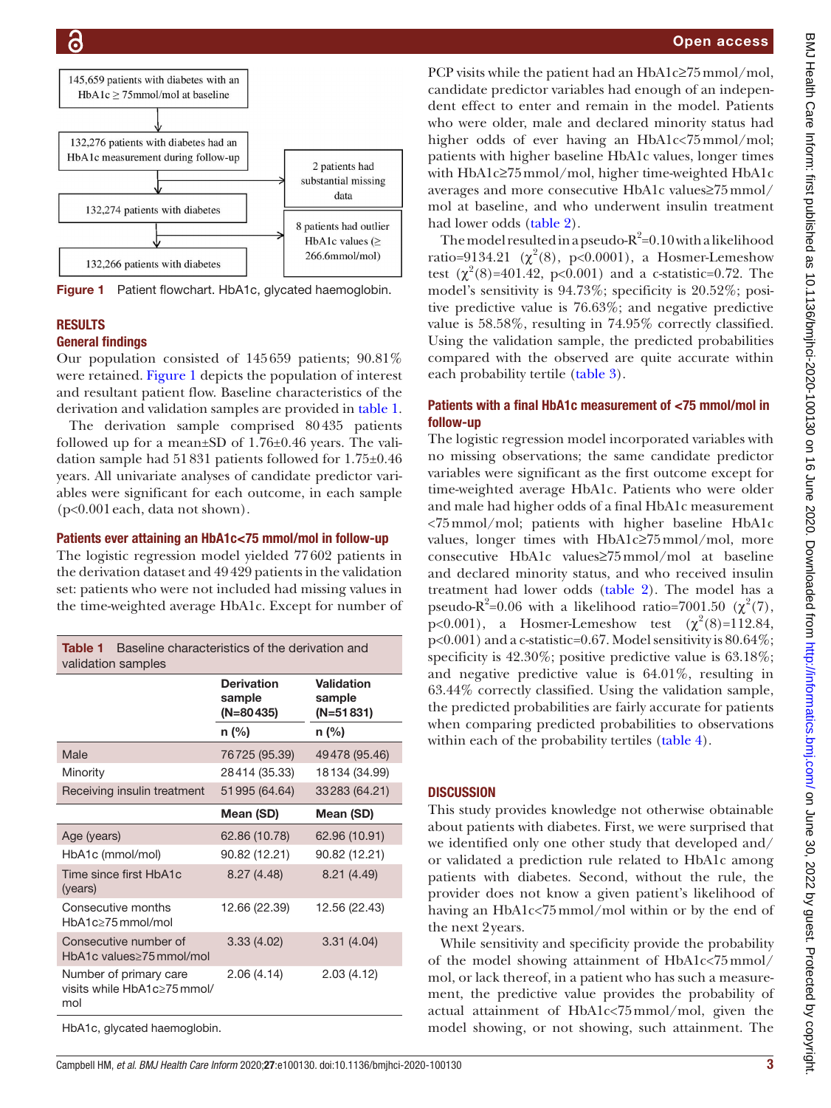

<span id="page-2-0"></span>Figure 1 Patient flowchart. HbA1c, glycated haemoglobin.

# **RESULTS**

## General findings

Our population consisted of 145659 patients; 90.81% were retained. [Figure](#page-2-0) 1 depicts the population of interest and resultant patient flow. Baseline characteristics of the derivation and validation samples are provided in [table](#page-2-1) 1.

The derivation sample comprised 80435 patients followed up for a mean $\pm$ SD of 1.76 $\pm$ 0.46 years. The validation sample had 51831 patients followed for 1.75±0.46 years. All univariate analyses of candidate predictor variables were significant for each outcome, in each sample (p<0.001each, data not shown).

## Patients ever attaining an HbA1c<75 mmol/mol in follow-up

The logistic regression model yielded 77602 patients in the derivation dataset and 49429 patients in the validation set: patients who were not included had missing values in the time-weighted average HbA1c. Except for number of

<span id="page-2-1"></span>

| Baseline characteristics of the derivation and<br>Table 1<br>validation samples |                                            |                                     |  |
|---------------------------------------------------------------------------------|--------------------------------------------|-------------------------------------|--|
|                                                                                 | <b>Derivation</b><br>sample<br>$(N=80435)$ | Validation<br>sample<br>$(N=51831)$ |  |
|                                                                                 | n (%)                                      | $n$ (%)                             |  |
| Male                                                                            | 76725 (95.39)                              | 49478 (95.46)                       |  |
| Minority                                                                        | 28414 (35.33)                              | 18134 (34.99)                       |  |
| Receiving insulin treatment                                                     | 51995 (64.64)                              | 33283 (64.21)                       |  |
|                                                                                 | Mean (SD)                                  | Mean (SD)                           |  |
| Age (years)                                                                     | 62.86 (10.78)                              | 62.96 (10.91)                       |  |
| HbA1c (mmol/mol)                                                                | 90.82 (12.21)                              | 90.82 (12.21)                       |  |
| Time since first HbA1c<br>(years)                                               | 8.27 (4.48)                                | 8.21(4.49)                          |  |
| Consecutive months<br>$HbA1c>75$ mmol/mol                                       | 12.66 (22.39)                              | 12.56 (22.43)                       |  |
| Consecutive number of<br>HbA1c values > 75 mmol/mol                             | 3.33(4.02)                                 | 3.31(4.04)                          |  |
| Number of primary care<br>visits while HbA1c>75mmol/<br>mol                     | 2.06 (4.14)                                | 2.03(4.12)                          |  |
|                                                                                 |                                            |                                     |  |

HbA1c, glycated haemoglobin.

## Open access

PCP visits while the patient had an HbA1c≥75mmol/mol, candidate predictor variables had enough of an independent effect to enter and remain in the model. Patients who were older, male and declared minority status had higher odds of ever having an HbA1c<75mmol/mol; patients with higher baseline HbA1c values, longer times with HbA1c≥75mmol/mol, higher time-weighted HbA1c averages and more consecutive HbA1c values≥75mmol/ mol at baseline, and who underwent insulin treatment had lower odds [\(table](#page-3-0) 2).

The model resulted in a pseudo- $R^2$ =0.10 with a likelihood ratio=9134.21 ( $\chi^2(8)$ , p<0.0001), a Hosmer-Lemeshow test  $(\chi^2(8)=401.42, \, p<0.001)$  and a c-statistic=0.72. The model's sensitivity is 94.73%; specificity is 20.52%; positive predictive value is 76.63%; and negative predictive value is 58.58%, resulting in 74.95% correctly classified. Using the validation sample, the predicted probabilities compared with the observed are quite accurate within each probability tertile ([table](#page-3-1) 3).

## Patients with a final HbA1c measurement of <75 mmol/mol in follow-up

The logistic regression model incorporated variables with no missing observations; the same candidate predictor variables were significant as the first outcome except for time-weighted average HbA1c. Patients who were older and male had higher odds of a final HbA1c measurement <75mmol/mol; patients with higher baseline HbA1c values, longer times with HbA1c≥75mmol/mol, more consecutive HbA1c values≥75mmol/mol at baseline and declared minority status, and who received insulin treatment had lower odds ([table](#page-3-0) 2). The model has a pseudo- $R^2$ =0.06 with a likelihood ratio=7001.50 ( $\chi^2$ (7),  $p<0.001$ ), a Hosmer-Lemeshow test  $(\chi^2(8)=112.84,$ p<0.001) and a c-statistic=0.67. Model sensitivity is 80.64%; specificity is 42.30%; positive predictive value is 63.18%; and negative predictive value is 64.01%, resulting in 63.44% correctly classified. Using the validation sample, the predicted probabilities are fairly accurate for patients when comparing predicted probabilities to observations within each of the probability tertiles [\(table](#page-4-0) 4).

# **DISCUSSION**

This study provides knowledge not otherwise obtainable about patients with diabetes. First, we were surprised that we identified only one other study that developed and/ or validated a prediction rule related to HbA1c among patients with diabetes. Second, without the rule, the provider does not know a given patient's likelihood of having an HbA1c<75mmol/mol within or by the end of the next 2years.

While sensitivity and specificity provide the probability of the model showing attainment of HbA1c<75mmol/ mol, or lack thereof, in a patient who has such a measurement, the predictive value provides the probability of actual attainment of HbA1c<75mmol/mol, given the model showing, or not showing, such attainment. The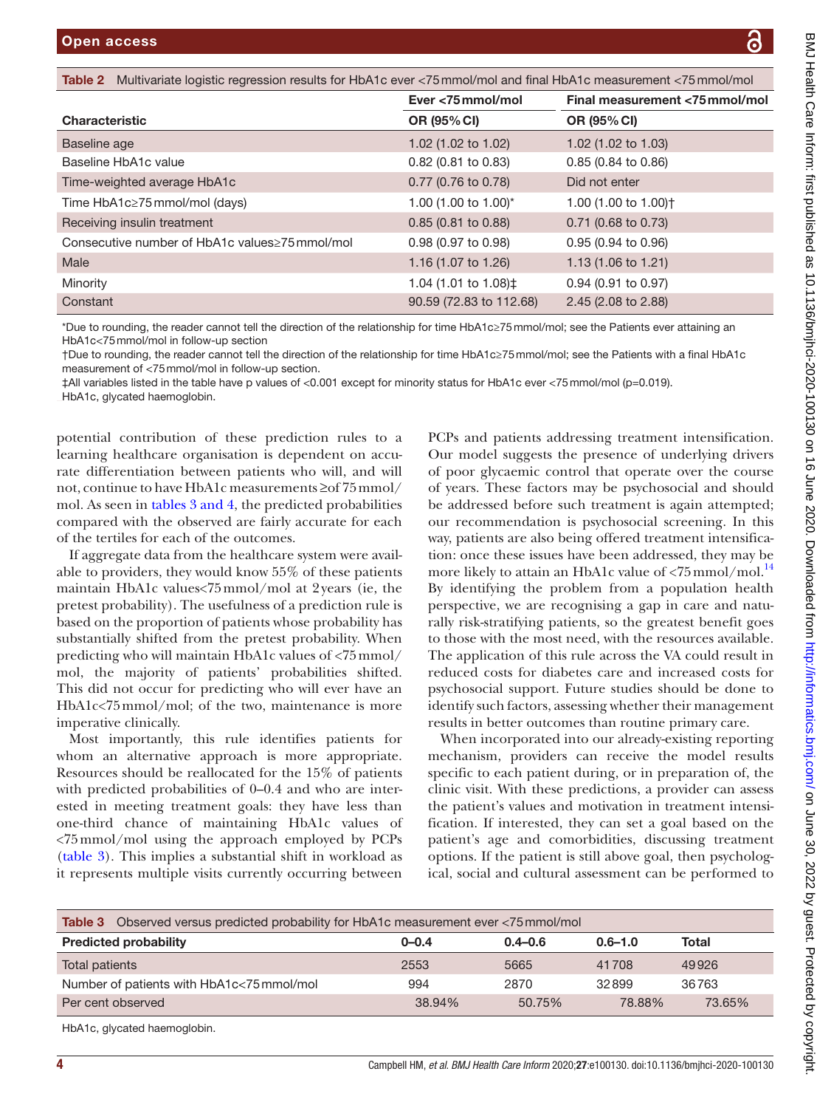<span id="page-3-0"></span>

| <b>Open access</b>                                                                                                       |                       | ධි                               |
|--------------------------------------------------------------------------------------------------------------------------|-----------------------|----------------------------------|
|                                                                                                                          |                       |                                  |
| Table 2<br>Multivariate logistic regression results for HbA1c ever <75 mmol/mol and final HbA1c measurement <75 mmol/mol |                       |                                  |
|                                                                                                                          | Ever <75 mmol/mol     | Final measurement <75 mmol/mol   |
| <b>Characteristic</b>                                                                                                    | OR (95% CI)           | OR (95% CI)                      |
| Baseline age                                                                                                             | 1.02 (1.02 to 1.02)   | 1.02 $(1.02 \text{ to } 1.03)$   |
| Baseline HbA1c value                                                                                                     | $0.82$ (0.81 to 0.83) | $0.85$ (0.84 to 0.86)            |
| Time-weighted average HbA1c                                                                                              | 0.77 (0.76 to 0.78)   | Did not enter                    |
| Time HbA1c≥75 mmol/mol (days)                                                                                            | 1.00 (1.00 to 1.00)*  | 1.00 (1.00 to 1.00) <sup>+</sup> |
| Receiving insulin treatment                                                                                              | $0.85$ (0.81 to 0.88) | $0.71$ (0.68 to 0.73)            |
|                                                                                                                          |                       |                                  |

| Constant                                       | 90.59 (72.83 to 112.68) | $2.45(2.08 \text{ to } 2.88)$  |
|------------------------------------------------|-------------------------|--------------------------------|
| Minority                                       | 1.04 (1.01 to 1.08) ‡   | $0.94$ (0.91 to 0.97)          |
| Male                                           | 1.16 (1.07 to 1.26)     | 1.13 $(1.06 \text{ to } 1.21)$ |
| Consecutive number of HbA1c values≥75 mmol/mol | $0.98(0.97)$ to $0.98$  | $0.95(0.94 \text{ to } 0.96)$  |

\*Due to rounding, the reader cannot tell the direction of the relationship for time HbA1c≥75mmol/mol; see the Patients ever attaining an HbA1c<75mmol/mol in follow-up section

†Due to rounding, the reader cannot tell the direction of the relationship for time HbA1c≥75mmol/mol; see the Patients with a final HbA1c measurement of <75mmol/mol in follow-up section.

‡All variables listed in the table have p values of <0.001 except for minority status for HbA1c ever <75mmol/mol (p=0.019). HbA1c, glycated haemoglobin.

potential contribution of these prediction rules to a learning healthcare organisation is dependent on accurate differentiation between patients who will, and will not, continue to have HbA1c measurements ≥of 75mmol/ mol. As seen in tables [3 and 4,](#page-3-1) the predicted probabilities compared with the observed are fairly accurate for each of the tertiles for each of the outcomes.

If aggregate data from the healthcare system were available to providers, they would know 55% of these patients maintain HbA1c values<75mmol/mol at 2years (ie, the pretest probability). The usefulness of a prediction rule is based on the proportion of patients whose probability has substantially shifted from the pretest probability. When predicting who will maintain HbA1c values of <75mmol/ mol, the majority of patients' probabilities shifted. This did not occur for predicting who will ever have an HbA1c<75mmol/mol; of the two, maintenance is more imperative clinically.

Most importantly, this rule identifies patients for whom an alternative approach is more appropriate. Resources should be reallocated for the 15% of patients with predicted probabilities of 0–0.4 and who are interested in meeting treatment goals: they have less than one-third chance of maintaining HbA1c values of <75mmol/mol using the approach employed by PCPs ([table](#page-3-1) 3). This implies a substantial shift in workload as it represents multiple visits currently occurring between

PCPs and patients addressing treatment intensification. Our model suggests the presence of underlying drivers of poor glycaemic control that operate over the course of years. These factors may be psychosocial and should be addressed before such treatment is again attempted; our recommendation is psychosocial screening. In this way, patients are also being offered treatment intensification: once these issues have been addressed, they may be more likely to attain an HbA1c value of  $\langle 75 \text{mmol/mol} \cdot 14$  $\langle 75 \text{mmol/mol} \cdot 14$ By identifying the problem from a population health perspective, we are recognising a gap in care and naturally risk-stratifying patients, so the greatest benefit goes to those with the most need, with the resources available. The application of this rule across the VA could result in reduced costs for diabetes care and increased costs for psychosocial support. Future studies should be done to identify such factors, assessing whether their management results in better outcomes than routine primary care.

When incorporated into our already-existing reporting mechanism, providers can receive the model results specific to each patient during, or in preparation of, the clinic visit. With these predictions, a provider can assess the patient's values and motivation in treatment intensification. If interested, they can set a goal based on the patient's age and comorbidities, discussing treatment options. If the patient is still above goal, then psychological, social and cultural assessment can be performed to

<span id="page-3-1"></span>

| Observed versus predicted probability for HbA1c measurement ever <75 mmol/mol<br>Table 3 |           |             |             |        |
|------------------------------------------------------------------------------------------|-----------|-------------|-------------|--------|
| <b>Predicted probability</b>                                                             | $0 - 0.4$ | $0.4 - 0.6$ | $0.6 - 1.0$ | Total  |
| Total patients                                                                           | 2553      | 5665        | 41708       | 49926  |
| Number of patients with HbA1c<75 mmol/mol                                                | 994       | 2870        | 32899       | 36763  |
| Per cent observed                                                                        | 38.94%    | 50.75%      | 78.88%      | 73.65% |

HbA1c, glycated haemoglobin.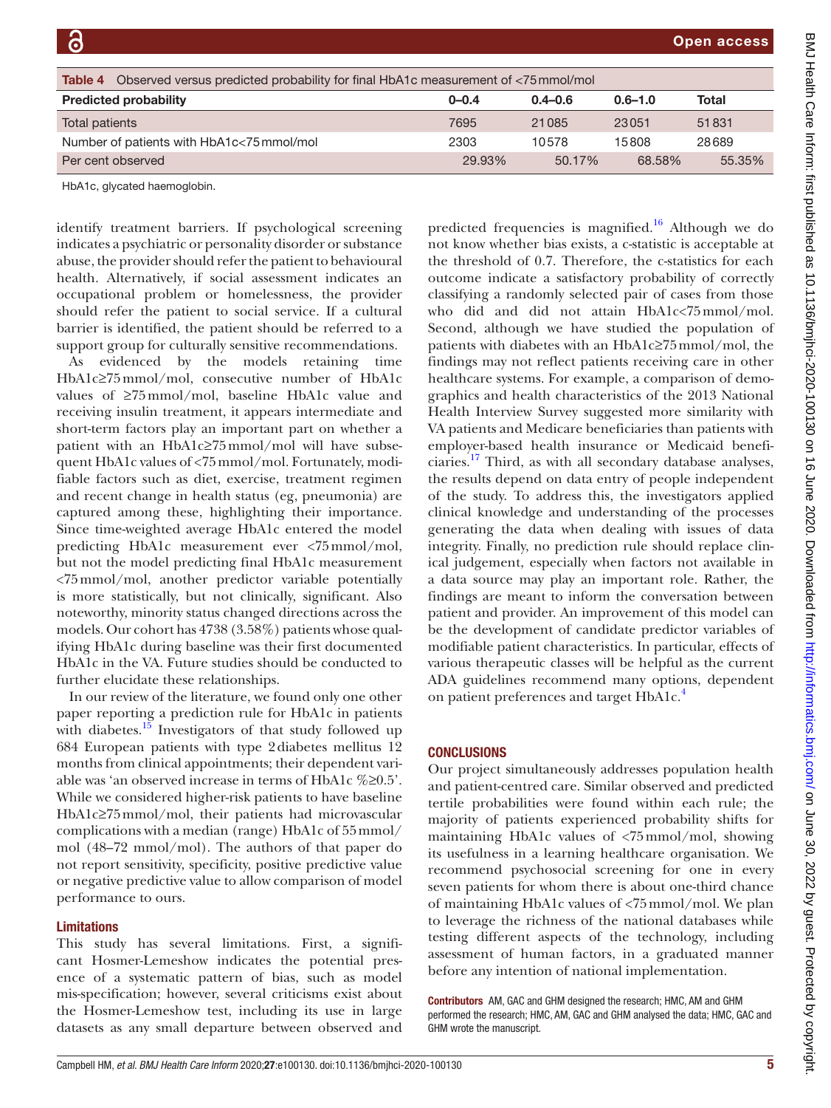<span id="page-4-0"></span>

| Observed versus predicted probability for final HbA1c measurement of <75 mmol/mol<br>Table 4 |           |             |             |        |
|----------------------------------------------------------------------------------------------|-----------|-------------|-------------|--------|
| <b>Predicted probability</b>                                                                 | $0 - 0.4$ | $0.4 - 0.6$ | $0.6 - 1.0$ | Total  |
| Total patients                                                                               | 7695      | 21085       | 23051       | 51831  |
| Number of patients with HbA1c<75 mmol/mol                                                    | 2303      | 10578       | 15808       | 28689  |
| Per cent observed                                                                            | 29.93%    | $50.17\%$   | 68.58%      | 55.35% |

HbA1c, glycated haemoglobin.

identify treatment barriers. If psychological screening indicates a psychiatric or personality disorder or substance abuse, the provider should refer the patient to behavioural health. Alternatively, if social assessment indicates an occupational problem or homelessness, the provider should refer the patient to social service. If a cultural barrier is identified, the patient should be referred to a support group for culturally sensitive recommendations.

As evidenced by the models retaining time HbA1c≥75mmol/mol, consecutive number of HbA1c values of ≥75mmol/mol, baseline HbA1c value and receiving insulin treatment, it appears intermediate and short-term factors play an important part on whether a patient with an HbA1c≥75mmol/mol will have subsequent HbA1c values of <75mmol/mol. Fortunately, modifiable factors such as diet, exercise, treatment regimen and recent change in health status (eg, pneumonia) are captured among these, highlighting their importance. Since time-weighted average HbA1c entered the model predicting HbA1c measurement ever <75mmol/mol, but not the model predicting final HbA1c measurement <75mmol/mol, another predictor variable potentially is more statistically, but not clinically, significant. Also noteworthy, minority status changed directions across the models. Our cohort has 4738 (3.58%) patients whose qualifying HbA1c during baseline was their first documented HbA1c in the VA. Future studies should be conducted to further elucidate these relationships.

In our review of the literature, we found only one other paper reporting a prediction rule for HbA1c in patients with diabetes.<sup>15</sup> Investigators of that study followed up 684 European patients with type 2diabetes mellitus 12 months from clinical appointments; their dependent variable was 'an observed increase in terms of HbA1c %≥0.5'. While we considered higher-risk patients to have baseline HbA1c≥75mmol/mol, their patients had microvascular complications with a median (range) HbA1c of 55mmol/ mol (48–72 mmol/mol). The authors of that paper do not report sensitivity, specificity, positive predictive value or negative predictive value to allow comparison of model performance to ours.

### Limitations

This study has several limitations. First, a significant Hosmer-Lemeshow indicates the potential presence of a systematic pattern of bias, such as model mis-specification; however, several criticisms exist about the Hosmer-Lemeshow test, including its use in large datasets as any small departure between observed and

predicted frequencies is magnified.<sup>16</sup> Although we do not know whether bias exists, a c-statistic is acceptable at the threshold of 0.7. Therefore, the c-statistics for each outcome indicate a satisfactory probability of correctly classifying a randomly selected pair of cases from those who did and did not attain HbA1c<75mmol/mol. Second, although we have studied the population of patients with diabetes with an HbA1c≥75mmol/mol, the findings may not reflect patients receiving care in other healthcare systems. For example, a comparison of demographics and health characteristics of the 2013 National Health Interview Survey suggested more similarity with VA patients and Medicare beneficiaries than patients with employer-based health insurance or Medicaid beneficiaries[.17](#page-5-13) Third, as with all secondary database analyses, the results depend on data entry of people independent of the study. To address this, the investigators applied clinical knowledge and understanding of the processes generating the data when dealing with issues of data integrity. Finally, no prediction rule should replace clinical judgement, especially when factors not available in a data source may play an important role. Rather, the findings are meant to inform the conversation between patient and provider. An improvement of this model can be the development of candidate predictor variables of modifiable patient characteristics. In particular, effects of various therapeutic classes will be helpful as the current ADA guidelines recommend many options, dependent on patient preferences and target HbA1c.<sup>4</sup>

### **CONCLUSIONS**

Our project simultaneously addresses population health and patient-centred care. Similar observed and predicted tertile probabilities were found within each rule; the majority of patients experienced probability shifts for maintaining HbA1c values of <75mmol/mol, showing its usefulness in a learning healthcare organisation. We recommend psychosocial screening for one in every seven patients for whom there is about one-third chance of maintaining HbA1c values of <75mmol/mol. We plan to leverage the richness of the national databases while testing different aspects of the technology, including assessment of human factors, in a graduated manner before any intention of national implementation.

Contributors AM, GAC and GHM designed the research; HMC, AM and GHM performed the research; HMC, AM, GAC and GHM analysed the data; HMC, GAC and GHM wrote the manuscript.